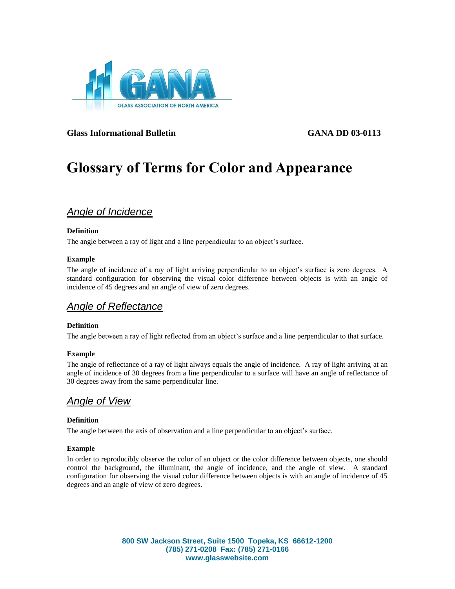

**Glass Informational Bulletin GANA DD 03-0113**

# **Glossary of Terms for Color and Appearance**

# *Angle of Incidence*

### **Definition**

The angle between a ray of light and a line perpendicular to an object's surface.

### **Example**

The angle of incidence of a ray of light arriving perpendicular to an object's surface is zero degrees. A standard configuration for observing the visual color difference between objects is with an angle of incidence of 45 degrees and an angle of view of zero degrees.

### *Angle of Reflectance*

### **Definition**

The angle between a ray of light reflected from an object's surface and a line perpendicular to that surface.

### **Example**

The angle of reflectance of a ray of light always equals the angle of incidence. A ray of light arriving at an angle of incidence of 30 degrees from a line perpendicular to a surface will have an angle of reflectance of 30 degrees away from the same perpendicular line.

# *Angle of View*

### **Definition**

The angle between the axis of observation and a line perpendicular to an object's surface.

### **Example**

In order to reproducibly observe the color of an object or the color difference between objects, one should control the background, the illuminant, the angle of incidence, and the angle of view. A standard configuration for observing the visual color difference between objects is with an angle of incidence of 45 degrees and an angle of view of zero degrees.

> **800 SW Jackson Street, Suite 1500 Topeka, KS 66612-1200 (785) 271-0208 Fax: (785) 271-0166 www.glasswebsite.com**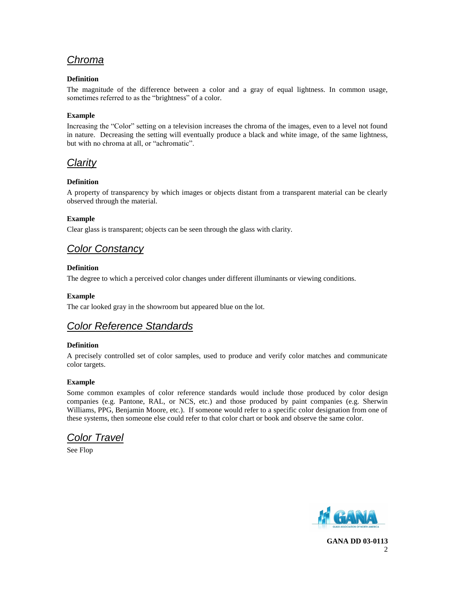# *Chroma*

### **Definition**

The magnitude of the difference between a color and a gray of equal lightness. In common usage, sometimes referred to as the "brightness" of a color.

### **Example**

Increasing the "Color" setting on a television increases the chroma of the images, even to a level not found in nature. Decreasing the setting will eventually produce a black and white image, of the same lightness, but with no chroma at all, or "achromatic".

# *Clarity*

### **Definition**

A property of transparency by which images or objects distant from a transparent material can be clearly observed through the material.

### **Example**

Clear glass is transparent; objects can be seen through the glass with clarity.

# *Color Constancy*

### **Definition**

The degree to which a perceived color changes under different illuminants or viewing conditions.

### **Example**

The car looked gray in the showroom but appeared blue on the lot.

# *Color Reference Standards*

### **Definition**

A precisely controlled set of color samples, used to produce and verify color matches and communicate color targets.

### **Example**

Some common examples of color reference standards would include those produced by color design companies (e.g. Pantone, RAL, or NCS, etc.) and those produced by paint companies (e.g. Sherwin Williams, PPG, Benjamin Moore, etc.). If someone would refer to a specific color designation from one of these systems, then someone else could refer to that color chart or book and observe the same color.

*Color Travel*

See Flop



**GANA DD 03-0113**  $\mathfrak{D}$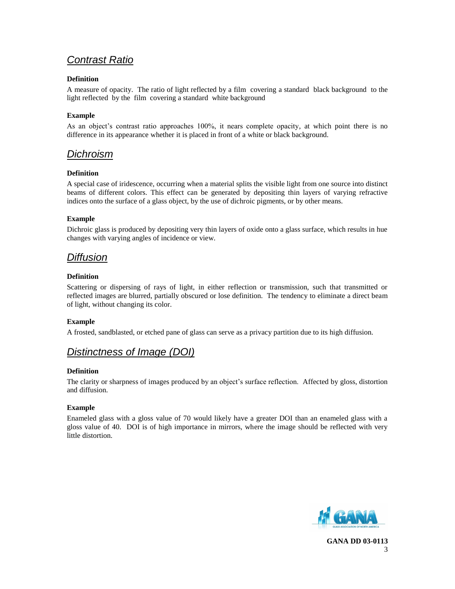# *Contrast Ratio*

### **Definition**

A measure of opacity. The ratio of light reflected by a film covering a standard black background to the light reflected by the film covering a standard white background

### **Example**

As an object's contrast ratio approaches 100%, it nears complete opacity, at which point there is no difference in its appearance whether it is placed in front of a white or black background.

### *Dichroism*

### **Definition**

A special case of iridescence, occurring when a material splits the visible light from one source into distinct beams of different colors. This effect can be generated by depositing thin layers of varying refractive indices onto the surface of a glass object, by the use of dichroic pigments, or by other means.

### **Example**

Dichroic glass is produced by depositing very thin layers of oxide onto a glass surface, which results in hue changes with varying angles of incidence or view.

# *Diffusion*

### **Definition**

Scattering or dispersing of rays of light, in either reflection or transmission, such that transmitted or reflected images are blurred, partially obscured or lose definition. The tendency to eliminate a direct beam of light, without changing its color.

### **Example**

A frosted, sandblasted, or etched pane of glass can serve as a privacy partition due to its high diffusion.

# *Distinctness of Image (DOI)*

### **Definition**

The clarity or sharpness of images produced by an object's surface reflection. Affected by gloss, distortion and diffusion.

### **Example**

Enameled glass with a gloss value of 70 would likely have a greater DOI than an enameled glass with a gloss value of 40. DOI is of high importance in mirrors, where the image should be reflected with very little distortion.

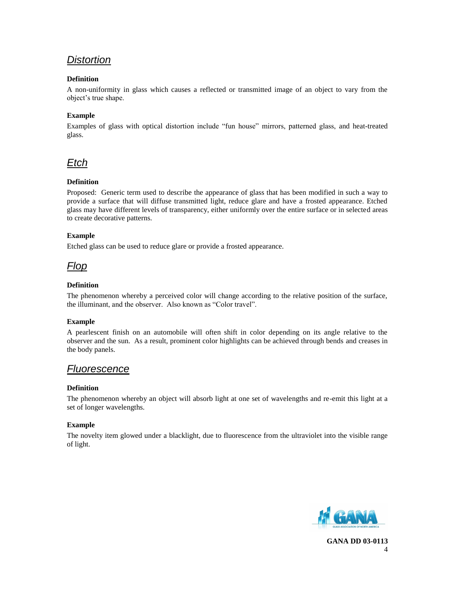# *Distortion*

### **Definition**

A non-uniformity in glass which causes a reflected or transmitted image of an object to vary from the object's true shape.

### **Example**

Examples of glass with optical distortion include "fun house" mirrors, patterned glass, and heat-treated glass.



### **Definition**

Proposed: Generic term used to describe the appearance of glass that has been modified in such a way to provide a surface that will diffuse transmitted light, reduce glare and have a frosted appearance. Etched glass may have different levels of transparency, either uniformly over the entire surface or in selected areas to create decorative patterns.

### **Example**

Etched glass can be used to reduce glare or provide a frosted appearance.

*Flop*

### **Definition**

The phenomenon whereby a perceived color will change according to the relative position of the surface, the illuminant, and the observer. Also known as "Color travel".

### **Example**

A pearlescent finish on an automobile will often shift in color depending on its angle relative to the observer and the sun. As a result, prominent color highlights can be achieved through bends and creases in the body panels.

### *Fluorescence*

### **Definition**

The phenomenon whereby an object will absorb light at one set of wavelengths and re-emit this light at a set of longer wavelengths.

### **Example**

The novelty item glowed under a blacklight, due to fluorescence from the ultraviolet into the visible range of light.

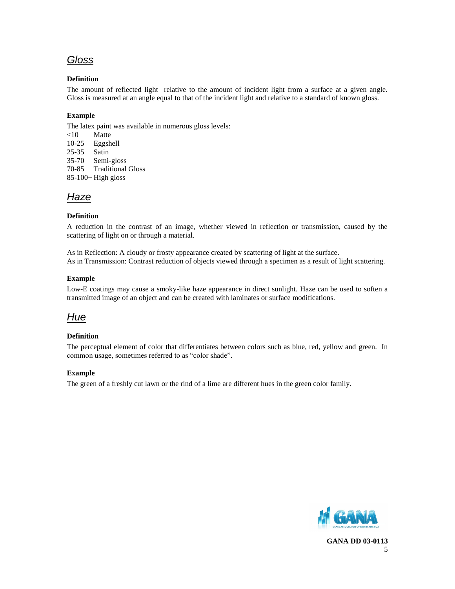# *Gloss*

### **Definition**

The amount of reflected light relative to the amount of incident light from a surface at a given angle. Gloss is measured at an angle equal to that of the incident light and relative to a standard of known gloss.

### **Example**

The latex paint was available in numerous gloss levels:

<10 Matte 10-25 Eggshell 25-35 Satin

35-70 Semi-gloss

70-85 Traditional Gloss

85-100+ High gloss

# *Haze*

### **Definition**

A reduction in the contrast of an image, whether viewed in reflection or transmission, caused by the scattering of light on or through a material.

As in Reflection: A cloudy or frosty appearance created by scattering of light at the surface. As in Transmission: Contrast reduction of objects viewed through a specimen as a result of light scattering.

### **Example**

Low-E coatings may cause a smoky-like haze appearance in direct sunlight. Haze can be used to soften a transmitted image of an object and can be created with laminates or surface modifications.

### *Hue*

### **Definition**

The perceptual element of color that differentiates between colors such as blue, red, yellow and green. In common usage, sometimes referred to as "color shade".

### **Example**

The green of a freshly cut lawn or the rind of a lime are different hues in the green color family.

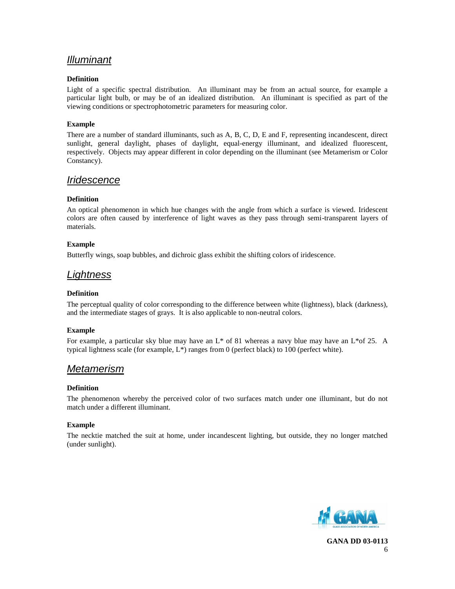# *Illuminant*

### **Definition**

Light of a specific spectral distribution. An illuminant may be from an actual source, for example a particular light bulb, or may be of an idealized distribution. An illuminant is specified as part of the viewing conditions or spectrophotometric parameters for measuring color.

### **Example**

There are a number of standard illuminants, such as A, B, C, D, E and F, representing incandescent, direct sunlight, general daylight, phases of daylight, equal-energy illuminant, and idealized fluorescent, respectively. Objects may appear different in color depending on the illuminant (see Metamerism or Color Constancy).

### *Iridescence*

### **Definition**

An optical phenomenon in which hue changes with the angle from which a surface is viewed. Iridescent colors are often caused by interference of light waves as they pass through semi-transparent layers of materials.

### **Example**

Butterfly wings, soap bubbles, and dichroic glass exhibit the shifting colors of iridescence.

### *Lightness*

### **Definition**

The perceptual quality of color corresponding to the difference between white (lightness), black (darkness), and the intermediate stages of grays. It is also applicable to non-neutral colors.

### **Example**

For example, a particular sky blue may have an  $L^*$  of 81 whereas a navy blue may have an  $L^*$  of 25. A typical lightness scale (for example,  $L^*$ ) ranges from 0 (perfect black) to 100 (perfect white).

### *Metamerism*

### **Definition**

The phenomenon whereby the perceived color of two surfaces match under one illuminant, but do not match under a different illuminant.

### **Example**

The necktie matched the suit at home, under incandescent lighting, but outside, they no longer matched (under sunlight).

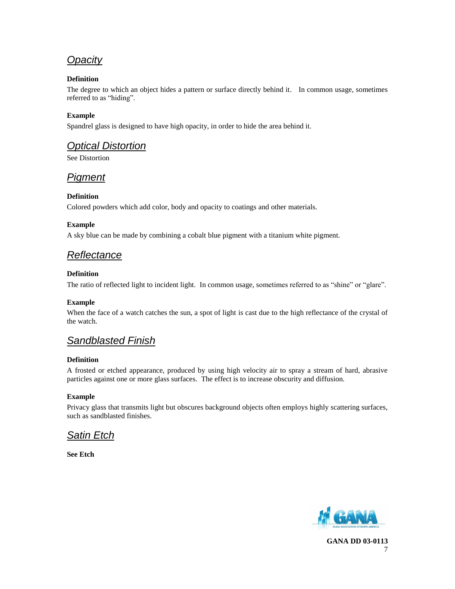# *Opacity*

### **Definition**

The degree to which an object hides a pattern or surface directly behind it. In common usage, sometimes referred to as "hiding".

### **Example**

Spandrel glass is designed to have high opacity, in order to hide the area behind it.

# *Optical Distortion*

See Distortion

# *Pigment*

### **Definition**

Colored powders which add color, body and opacity to coatings and other materials.

### **Example**

A sky blue can be made by combining a cobalt blue pigment with a titanium white pigment.

# *Reflectance*

### **Definition**

The ratio of reflected light to incident light. In common usage, sometimes referred to as "shine" or "glare".

### **Example**

When the face of a watch catches the sun, a spot of light is cast due to the high reflectance of the crystal of the watch.

# *Sandblasted Finish*

### **Definition**

A frosted or etched appearance, produced by using high velocity air to spray a stream of hard, abrasive particles against one or more glass surfaces. The effect is to increase obscurity and diffusion.

### **Example**

Privacy glass that transmits light but obscures background objects often employs highly scattering surfaces, such as sandblasted finishes.

# *Satin Etch*

**See Etch**

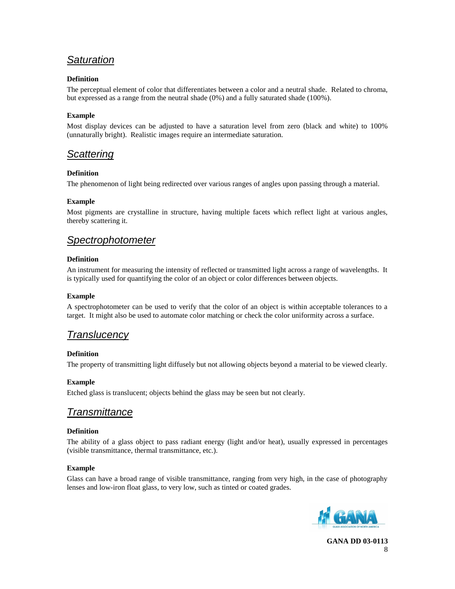# *Saturation*

### **Definition**

The perceptual element of color that differentiates between a color and a neutral shade. Related to chroma, but expressed as a range from the neutral shade (0%) and a fully saturated shade (100%).

### **Example**

Most display devices can be adjusted to have a saturation level from zero (black and white) to 100% (unnaturally bright). Realistic images require an intermediate saturation.

### *Scattering*

### **Definition**

The phenomenon of light being redirected over various ranges of angles upon passing through a material.

### **Example**

Most pigments are crystalline in structure, having multiple facets which reflect light at various angles, thereby scattering it.

### *Spectrophotometer*

### **Definition**

An instrument for measuring the intensity of reflected or transmitted light across a range of wavelengths. It is typically used for quantifying the color of an object or color differences between objects.

### **Example**

A spectrophotometer can be used to verify that the color of an object is within acceptable tolerances to a target. It might also be used to automate color matching or check the color uniformity across a surface.

# *Translucency*

### **Definition**

The property of transmitting light diffusely but not allowing objects beyond a material to be viewed clearly.

### **Example**

Etched glass is translucent; objects behind the glass may be seen but not clearly.

### *Transmittance*

### **Definition**

The ability of a glass object to pass radiant energy (light and/or heat), usually expressed in percentages (visible transmittance, thermal transmittance, etc.).

### **Example**

Glass can have a broad range of visible transmittance, ranging from very high, in the case of photography lenses and low-iron float glass, to very low, such as tinted or coated grades.

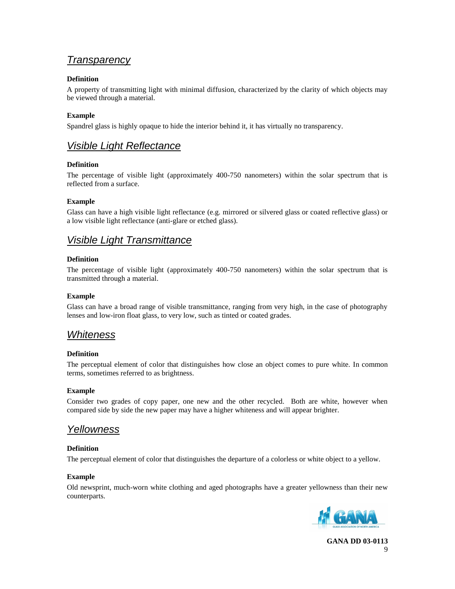### *Transparency*

### **Definition**

A property of transmitting light with minimal diffusion, characterized by the clarity of which objects may be viewed through a material.

### **Example**

Spandrel glass is highly opaque to hide the interior behind it, it has virtually no transparency.

# *Visible Light Reflectance*

### **Definition**

The percentage of visible light (approximately 400-750 nanometers) within the solar spectrum that is reflected from a surface.

### **Example**

Glass can have a high visible light reflectance (e.g. mirrored or silvered glass or coated reflective glass) or a low visible light reflectance (anti-glare or etched glass).

# *Visible Light Transmittance*

### **Definition**

The percentage of visible light (approximately 400-750 nanometers) within the solar spectrum that is transmitted through a material.

### **Example**

Glass can have a broad range of visible transmittance, ranging from very high, in the case of photography lenses and low-iron float glass, to very low, such as tinted or coated grades.

### *Whiteness*

### **Definition**

The perceptual element of color that distinguishes how close an object comes to pure white. In common terms, sometimes referred to as brightness.

### **Example**

Consider two grades of copy paper, one new and the other recycled. Both are white, however when compared side by side the new paper may have a higher whiteness and will appear brighter.

### *Yellowness*

### **Definition**

The perceptual element of color that distinguishes the departure of a colorless or white object to a yellow.

### **Example**

Old newsprint, much-worn white clothing and aged photographs have a greater yellowness than their new counterparts.